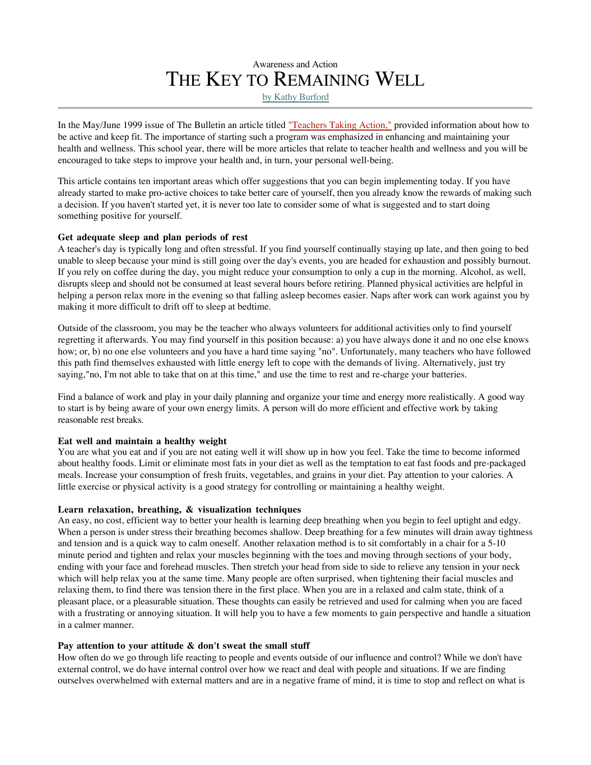# Awareness and Action THE KEY TO REMAINING WELL by Kathy Burford

In the May/June 1999 issue of The Bulletin an article titled "Teachers Taking Action," provided information about how to be active and keep fit. The importance of starting such a program was emphasized in enhancing and maintaining your health and wellness. This school year, there will be more articles that relate to teacher health and wellness and you will be encouraged to take steps to improve your health and, in turn, your personal well-being.

This article contains ten important areas which offer suggestions that you can begin implementing today. If you have already started to make pro-active choices to take better care of yourself, then you already know the rewards of making such a decision. If you haven't started yet, it is never too late to consider some of what is suggested and to start doing something positive for yourself.

## **Get adequate sleep and plan periods of rest**

A teacher's day is typically long and often stressful. If you find yourself continually staying up late, and then going to bed unable to sleep because your mind is still going over the day's events, you are headed for exhaustion and possibly burnout. If you rely on coffee during the day, you might reduce your consumption to only a cup in the morning. Alcohol, as well, disrupts sleep and should not be consumed at least several hours before retiring. Planned physical activities are helpful in helping a person relax more in the evening so that falling asleep becomes easier. Naps after work can work against you by making it more difficult to drift off to sleep at bedtime.

Outside of the classroom, you may be the teacher who always volunteers for additional activities only to find yourself regretting it afterwards. You may find yourself in this position because: a) you have always done it and no one else knows how; or, b) no one else volunteers and you have a hard time saying "no". Unfortunately, many teachers who have followed this path find themselves exhausted with little energy left to cope with the demands of living. Alternatively, just try saying,"no, I'm not able to take that on at this time," and use the time to rest and re-charge your batteries.

Find a balance of work and play in your daily planning and organize your time and energy more realistically. A good way to start is by being aware of your own energy limits. A person will do more efficient and effective work by taking reasonable rest breaks.

## **Eat well and maintain a healthy weight**

You are what you eat and if you are not eating well it will show up in how you feel. Take the time to become informed about healthy foods. Limit or eliminate most fats in your diet as well as the temptation to eat fast foods and pre-packaged meals. Increase your consumption of fresh fruits, vegetables, and grains in your diet. Pay attention to your calories. A little exercise or physical activity is a good strategy for controlling or maintaining a healthy weight.

## **Learn relaxation, breathing, & visualization techniques**

An easy, no cost, efficient way to better your health is learning deep breathing when you begin to feel uptight and edgy. When a person is under stress their breathing becomes shallow. Deep breathing for a few minutes will drain away tightness and tension and is a quick way to calm oneself. Another relaxation method is to sit comfortably in a chair for a 5-10 minute period and tighten and relax your muscles beginning with the toes and moving through sections of your body, ending with your face and forehead muscles. Then stretch your head from side to side to relieve any tension in your neck which will help relax you at the same time. Many people are often surprised, when tightening their facial muscles and relaxing them, to find there was tension there in the first place. When you are in a relaxed and calm state, think of a pleasant place, or a pleasurable situation. These thoughts can easily be retrieved and used for calming when you are faced with a frustrating or annoying situation. It will help you to have a few moments to gain perspective and handle a situation in a calmer manner.

## **Pay attention to your attitude & don't sweat the small stuff**

How often do we go through life reacting to people and events outside of our influence and control? While we don't have external control, we do have internal control over how we react and deal with people and situations. If we are finding ourselves overwhelmed with external matters and are in a negative frame of mind, it is time to stop and reflect on what is